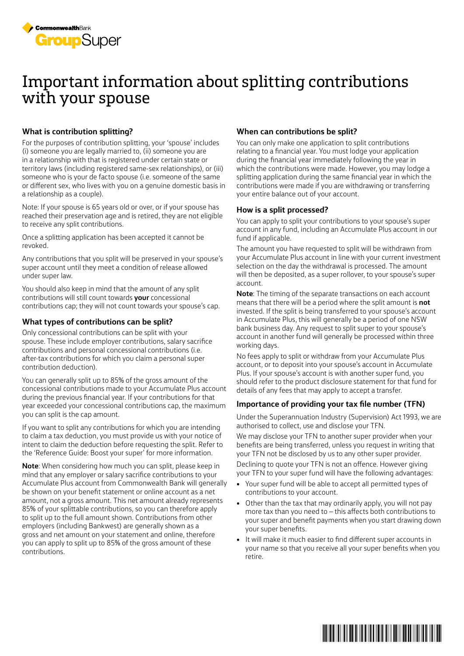

## Important information about splitting contributions with your spouse

#### **What is contribution splitting?**

For the purposes of contribution splitting, your 'spouse' includes (i) someone you are legally married to, (ii) someone you are in a relationship with that is registered under certain state or territory laws (including registered same-sex relationships), or (iii) someone who is your de facto spouse (i.e. someone of the same or different sex, who lives with you on a genuine domestic basis in a relationship as a couple).

Note: If your spouse is 65 years old or over, or if your spouse has reached their preservation age and is retired, they are not eligible to receive any split contributions.

Once a splitting application has been accepted it cannot be revoked.

Any contributions that you split will be preserved in your spouse's super account until they meet a condition of release allowed under super law.

You should also keep in mind that the amount of any split contributions will still count towards **your** concessional contributions cap; they will not count towards your spouse's cap.

#### **What types of contributions can be split?**

Only concessional contributions can be split with your spouse. These include employer contributions, salary sacrifice contributions and personal concessional contributions (i.e. after-tax contributions for which you claim a personal super contribution deduction).

You can generally split up to 85% of the gross amount of the concessional contributions made to your Accumulate Plus account during the previous financial year. If your contributions for that year exceeded your concessional contributions cap, the maximum you can split is the cap amount.

If you want to split any contributions for which you are intending to claim a tax deduction, you must provide us with your notice of intent to claim the deduction before requesting the split. Refer to the 'Reference Guide: Boost your super' for more information.

**Note**: When considering how much you can split, please keep in mind that any employer or salary sacrifice contributions to your Accumulate Plus account from Commonwealth Bank will generally be shown on your benefit statement or online account as a net amount, not a gross amount. This net amount already represents 85% of your splittable contributions, so you can therefore apply to split up to the full amount shown. Contributions from other employers (including Bankwest) are generally shown as a gross and net amount on your statement and online, therefore you can apply to split up to 85% of the gross amount of these contributions.

#### **When can contributions be split?**

You can only make one application to split contributions relating to a financial year. You must lodge your application during the financial year immediately following the year in which the contributions were made. However, you may lodge a splitting application during the same financial year in which the contributions were made if you are withdrawing or transferring your entire balance out of your account.

#### **How is a split processed?**

You can apply to split your contributions to your spouse's super account in any fund, including an Accumulate Plus account in our fund if applicable.

The amount you have requested to split will be withdrawn from your Accumulate Plus account in line with your current investment selection on the day the withdrawal is processed. The amount will then be deposited, as a super rollover, to your spouse's super account.

**Note**: The timing of the separate transactions on each account means that there will be a period where the split amount is **not** invested. If the split is being transferred to your spouse's account in Accumulate Plus, this will generally be a period of one NSW bank business day. Any request to split super to your spouse's account in another fund will generally be processed within three working days.

No fees apply to split or withdraw from your Accumulate Plus account, or to deposit into your spouse's account in Accumulate Plus. If your spouse's account is with another super fund, you should refer to the product disclosure statement for that fund for details of any fees that may apply to accept a transfer.

### **Importance of providing your tax file number (TFN)**

Under the Superannuation Industry (Supervision) Act 1993, we are authorised to collect, use and disclose your TFN.

We may disclose your TFN to another super provider when your benefits are being transferred, unless you request in writing that your TFN not be disclosed by us to any other super provider.

Declining to quote your TFN is not an offence. However giving your TFN to your super fund will have the following advantages:

- Your super fund will be able to accept all permitted types of contributions to your account.
- Other than the tax that may ordinarily apply, you will not pay more tax than you need to – this affects both contributions to your super and benefit payments when you start drawing down your super benefits.
- It will make it much easier to find different super accounts in your name so that you receive all your super benefits when you retire.

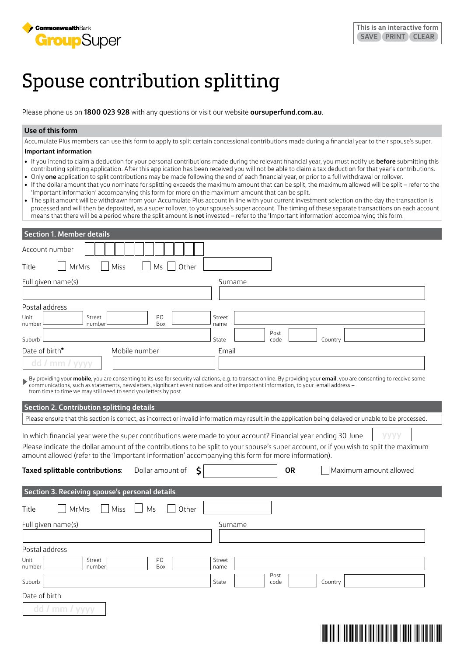

# Spouse contribution splitting

Please phone us on **1800 023 928** with any questions or visit our website **[oursuperfund.com.au](http://oursuperfund.com.au)**.

#### **Use of this form**

Accumulate Plus members can use this form to apply to split certain concessional contributions made during a financial year to their spouse's super. **Important information**

- If you intend to claim a deduction for your personal contributions made during the relevant financial year, you must notify us **before** submitting this contributing splitting application. After this application has been received you will not be able to claim a tax deduction for that year's contributions.
- Only **one** application to split contributions may be made following the end of each financial year, or prior to a full withdrawal or rollover.
- If the dollar amount that you nominate for splitting exceeds the maximum amount that can be split, the maximum allowed will be split refer to the 'Important information' accompanying this form for more on the maximum amount that can be split.
- The split amount will be withdrawn from your Accumulate Plus account in line with your current investment selection on the day the transaction is processed and will then be deposited, as a super rollover, to your spouse's super account. The timing of these separate transactions on each account means that there will be a period where the split amount is **not** invested – refer to the 'Important information' accompanying this form.

| <b>Section 1. Member details</b>                                                                                                                                                                                                                                                                                                                                                                  |                |              |                        |  |
|---------------------------------------------------------------------------------------------------------------------------------------------------------------------------------------------------------------------------------------------------------------------------------------------------------------------------------------------------------------------------------------------------|----------------|--------------|------------------------|--|
| Account number                                                                                                                                                                                                                                                                                                                                                                                    |                |              |                        |  |
| <b>MrMrs</b><br>Other<br>Title<br>Miss<br>Ms                                                                                                                                                                                                                                                                                                                                                      |                |              |                        |  |
| Full given name(s)                                                                                                                                                                                                                                                                                                                                                                                | Surname        |              |                        |  |
|                                                                                                                                                                                                                                                                                                                                                                                                   |                |              |                        |  |
| Postal address                                                                                                                                                                                                                                                                                                                                                                                    |                |              |                        |  |
| PO<br>Street<br>Unit<br>number<br>number<br>Box                                                                                                                                                                                                                                                                                                                                                   | Street<br>name |              |                        |  |
| Suburb                                                                                                                                                                                                                                                                                                                                                                                            | State          | Post<br>code | Country                |  |
| Date of birth*<br>Mobile number                                                                                                                                                                                                                                                                                                                                                                   | Email          |              |                        |  |
| dd / mm /<br><b>VVVV</b>                                                                                                                                                                                                                                                                                                                                                                          |                |              |                        |  |
| By providing your <b>mobile</b> , you are consenting to its use for security validations, e.g. to transact online. By providing your <b>email</b> , you are consenting to receive some<br>communications, such as statements, newsletters, significant event notices and other important information, to your email address -<br>from time to time we may still need to send you letters by post. |                |              |                        |  |
| <b>Section 2. Contribution splitting details</b>                                                                                                                                                                                                                                                                                                                                                  |                |              |                        |  |
| Please ensure that this section is correct, as incorrect or invalid information may result in the application being delayed or unable to be processed.                                                                                                                                                                                                                                            |                |              |                        |  |
| In which financial year were the super contributions were made to your account? Financial year ending 30 June<br>Please indicate the dollar amount of the contributions to be split to your spouse's super account, or if you wish to split the maximum<br>amount allowed (refer to the 'Important information' accompanying this form for more information).                                     |                |              |                        |  |
| Dollar amount of<br>Š.<br>Taxed splittable contributions:                                                                                                                                                                                                                                                                                                                                         |                | <b>OR</b>    | Maximum amount allowed |  |
| <b>Section 3. Receiving spouse's personal details</b>                                                                                                                                                                                                                                                                                                                                             |                |              |                        |  |
| <b>MrMrs</b><br>Other<br>Title<br>Miss<br>Ms                                                                                                                                                                                                                                                                                                                                                      |                |              |                        |  |
| Full given name(s)                                                                                                                                                                                                                                                                                                                                                                                | Surname        |              |                        |  |
|                                                                                                                                                                                                                                                                                                                                                                                                   |                |              |                        |  |
| Postal address                                                                                                                                                                                                                                                                                                                                                                                    |                |              |                        |  |
| Unit<br>Street<br>PO<br>number<br>Box<br>number                                                                                                                                                                                                                                                                                                                                                   | Street<br>name |              |                        |  |
| Suburb                                                                                                                                                                                                                                                                                                                                                                                            | State          | Post<br>code | Country                |  |
| Date of birth                                                                                                                                                                                                                                                                                                                                                                                     |                |              |                        |  |
| dd<br>mm                                                                                                                                                                                                                                                                                                                                                                                          |                |              |                        |  |